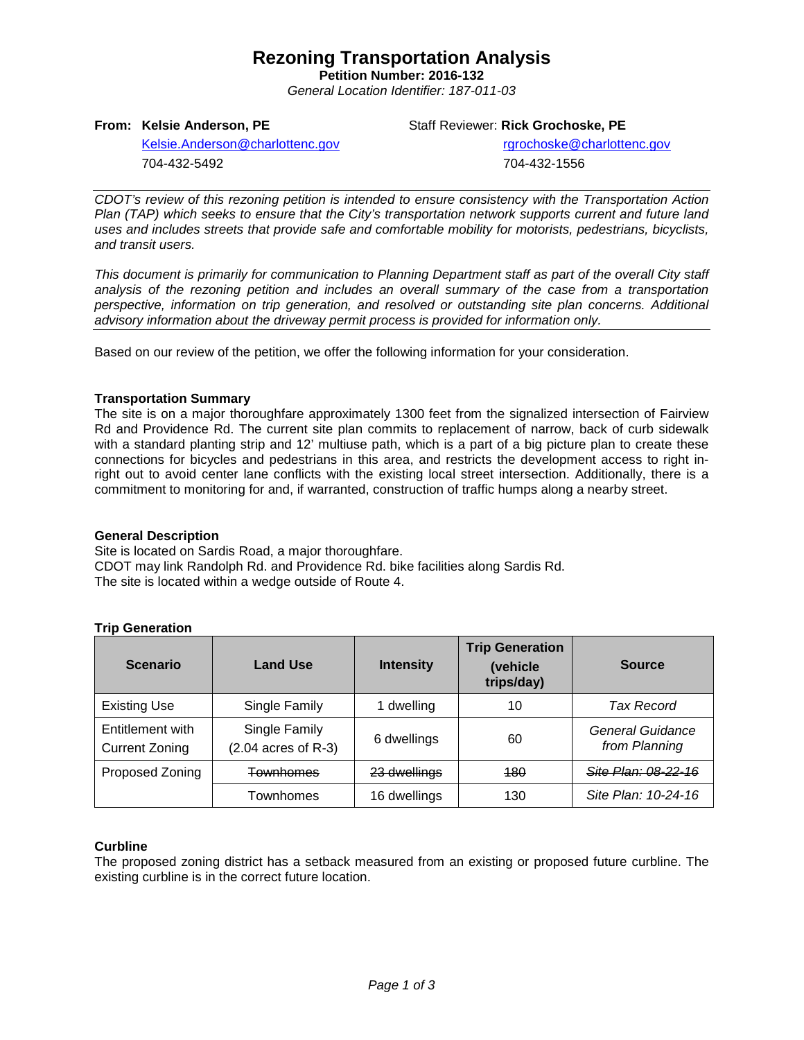## **Rezoning Transportation Analysis**

**Petition Number: 2016-132** *General Location Identifier: 187-011-03*

**From: Kelsie Anderson, PE**

Staff Reviewer: **Rick Grochoske, PE**

[Kelsie.Anderson@charlottenc.gov](mailto:Kelsie.Anderson@charlottenc.gov) 704-432-5492

rgrochoske@charlottenc.gov

704-432-1556

*CDOT's review of this rezoning petition is intended to ensure consistency with the Transportation Action Plan (TAP) which seeks to ensure that the City's transportation network supports current and future land uses and includes streets that provide safe and comfortable mobility for motorists, pedestrians, bicyclists, and transit users.*

*This document is primarily for communication to Planning Department staff as part of the overall City staff analysis of the rezoning petition and includes an overall summary of the case from a transportation perspective, information on trip generation, and resolved or outstanding site plan concerns. Additional advisory information about the driveway permit process is provided for information only.*

Based on our review of the petition, we offer the following information for your consideration.

#### **Transportation Summary**

The site is on a major thoroughfare approximately 1300 feet from the signalized intersection of Fairview Rd and Providence Rd. The current site plan commits to replacement of narrow, back of curb sidewalk with a standard planting strip and 12' multiuse path, which is a part of a big picture plan to create these connections for bicycles and pedestrians in this area, and restricts the development access to right inright out to avoid center lane conflicts with the existing local street intersection. Additionally, there is a commitment to monitoring for and, if warranted, construction of traffic humps along a nearby street.

#### **General Description**

Site is located on Sardis Road, a major thoroughfare. CDOT may link Randolph Rd. and Providence Rd. bike facilities along Sardis Rd. The site is located within a wedge outside of Route 4.

## **Trip Generation**

| <b>Scenario</b>                           | <b>Land Use</b>                        | <b>Intensity</b> | <b>Trip Generation</b><br>(vehicle<br>trips/day) | <b>Source</b>                     |
|-------------------------------------------|----------------------------------------|------------------|--------------------------------------------------|-----------------------------------|
| <b>Existing Use</b>                       | Single Family                          | 1 dwelling       | 10                                               | Tax Record                        |
| Entitlement with<br><b>Current Zoning</b> | Single Family<br>$(2.04$ acres of R-3) | 6 dwellings      | 60                                               | General Guidance<br>from Planning |
| Proposed Zoning                           | <b>Townhomes</b>                       | 23 dwellings     | <b>180</b>                                       | <u> Site Plan: 08-22-16</u>       |
|                                           | Townhomes                              | 16 dwellings     | 130                                              | Site Plan: 10-24-16               |

## **Curbline**

The proposed zoning district has a setback measured from an existing or proposed future curbline. The existing curbline is in the correct future location.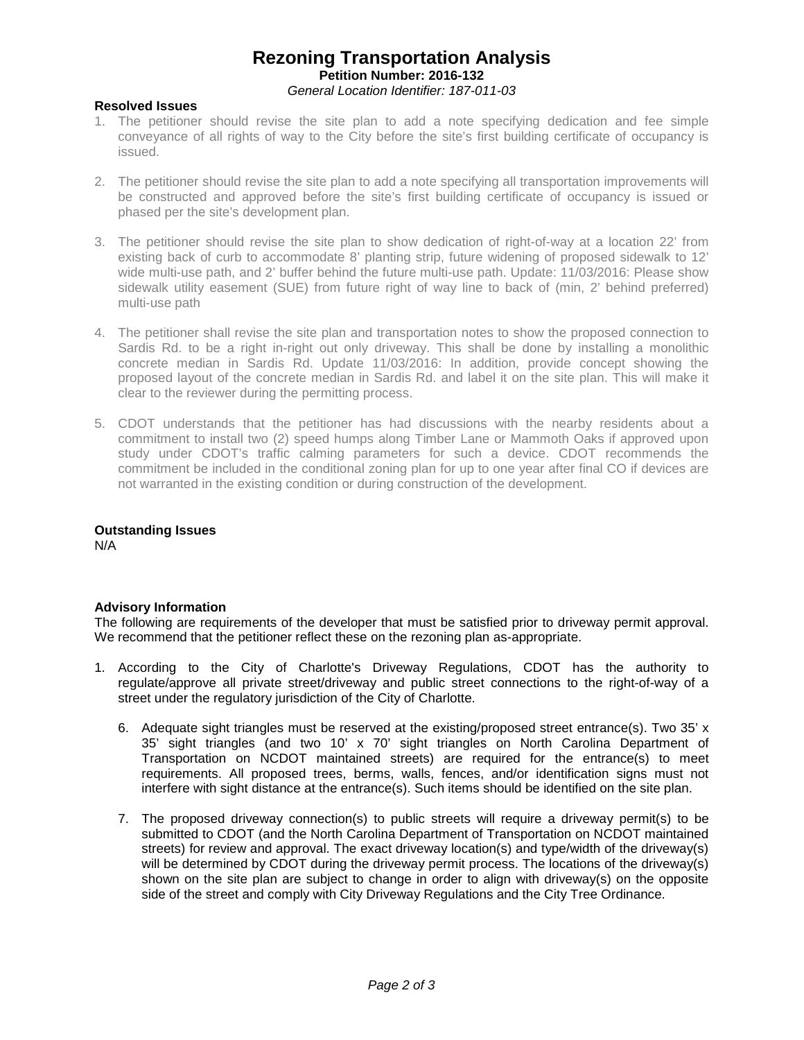## **Rezoning Transportation Analysis Petition Number: 2016-132** *General Location Identifier: 187-011-03*

#### **Resolved Issues**

- 1. The petitioner should revise the site plan to add a note specifying dedication and fee simple conveyance of all rights of way to the City before the site's first building certificate of occupancy is issued.
- 2. The petitioner should revise the site plan to add a note specifying all transportation improvements will be constructed and approved before the site's first building certificate of occupancy is issued or phased per the site's development plan.
- 3. The petitioner should revise the site plan to show dedication of right-of-way at a location 22' from existing back of curb to accommodate 8' planting strip, future widening of proposed sidewalk to 12' wide multi-use path, and 2' buffer behind the future multi-use path. Update: 11/03/2016: Please show sidewalk utility easement (SUE) from future right of way line to back of (min, 2' behind preferred) multi-use path
- 4. The petitioner shall revise the site plan and transportation notes to show the proposed connection to Sardis Rd. to be a right in-right out only driveway. This shall be done by installing a monolithic concrete median in Sardis Rd. Update 11/03/2016: In addition, provide concept showing the proposed layout of the concrete median in Sardis Rd. and label it on the site plan. This will make it clear to the reviewer during the permitting process.
- 5. CDOT understands that the petitioner has had discussions with the nearby residents about a commitment to install two (2) speed humps along Timber Lane or Mammoth Oaks if approved upon study under CDOT's traffic calming parameters for such a device. CDOT recommends the commitment be included in the conditional zoning plan for up to one year after final CO if devices are not warranted in the existing condition or during construction of the development.

## **Outstanding Issues**

N/A

#### **Advisory Information**

The following are requirements of the developer that must be satisfied prior to driveway permit approval. We recommend that the petitioner reflect these on the rezoning plan as-appropriate.

- 1. According to the City of Charlotte's Driveway Regulations, CDOT has the authority to regulate/approve all private street/driveway and public street connections to the right-of-way of a street under the regulatory jurisdiction of the City of Charlotte.
	- 6. Adequate sight triangles must be reserved at the existing/proposed street entrance(s). Two 35' x 35' sight triangles (and two 10' x 70' sight triangles on North Carolina Department of Transportation on NCDOT maintained streets) are required for the entrance(s) to meet requirements. All proposed trees, berms, walls, fences, and/or identification signs must not interfere with sight distance at the entrance(s). Such items should be identified on the site plan.
	- 7. The proposed driveway connection(s) to public streets will require a driveway permit(s) to be submitted to CDOT (and the North Carolina Department of Transportation on NCDOT maintained streets) for review and approval. The exact driveway location(s) and type/width of the driveway(s) will be determined by CDOT during the driveway permit process. The locations of the driveway(s) shown on the site plan are subject to change in order to align with driveway(s) on the opposite side of the street and comply with City Driveway Regulations and the City Tree Ordinance.